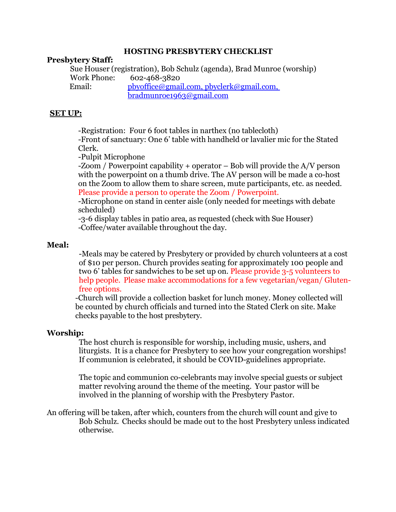## **HOSTING PRESBYTERY CHECKLIST**

## **Presbytery Staff:**

Sue Houser (registration), Bob Schulz (agenda), Brad Munroe (worship) Work Phone: 602-468-3820 Email: [pbyoffice@gmail.com,](mailto:pbyoffice@gmail.com) [pbyclerk@gmail.com,](mailto:pbyclerk@gmail.com) bradmunroe1963@gmail.com

## **SET UP:**

-Registration: Four 6 foot tables in narthex (no tablecloth)

-Front of sanctuary: One 6' table with handheld or lavalier mic for the Stated Clerk.

-Pulpit Microphone

-Zoom / Powerpoint capability + operator – Bob will provide the A/V person with the powerpoint on a thumb drive. The AV person will be made a co-host on the Zoom to allow them to share screen, mute participants, etc. as needed. Please provide a person to operate the Zoom / Powerpoint.

-Microphone on stand in center aisle (only needed for meetings with debate scheduled)

-3-6 display tables in patio area, as requested (check with Sue Houser) -Coffee/water available throughout the day.

#### **Meal:**

-Meals may be catered by Presbytery or provided by church volunteers at a cost of \$10 per person. Church provides seating for approximately 100 people and two 6' tables for sandwiches to be set up on. Please provide 3-5 volunteers to help people. Please make accommodations for a few vegetarian/vegan/ Glutenfree options.

-Church will provide a collection basket for lunch money. Money collected will be counted by church officials and turned into the Stated Clerk on site. Make checks payable to the host presbytery.

#### **Worship:**

The host church is responsible for worship, including music, ushers, and liturgists. It is a chance for Presbytery to see how your congregation worships! If communion is celebrated, it should be COVID-guidelines appropriate.

The topic and communion co-celebrants may involve special guests or subject matter revolving around the theme of the meeting. Your pastor will be involved in the planning of worship with the Presbytery Pastor.

An offering will be taken, after which, counters from the church will count and give to Bob Schulz. Checks should be made out to the host Presbytery unless indicated otherwise.